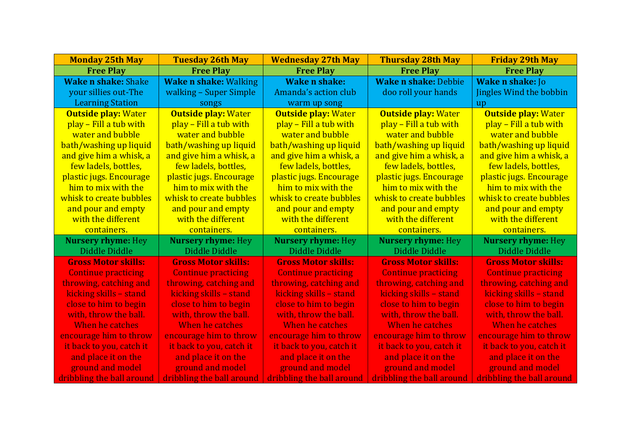| <b>Monday 25th May</b>     | <b>Tuesday 26th May</b>      | <b>Wednesday 27th May</b>  | <b>Thursday 28th May</b>    | <b>Friday 29th May</b>     |
|----------------------------|------------------------------|----------------------------|-----------------------------|----------------------------|
| <b>Free Play</b>           | <b>Free Play</b>             | <b>Free Play</b>           | <b>Free Play</b>            | <b>Free Play</b>           |
| <b>Wake n shake: Shake</b> | <b>Wake n shake: Walking</b> | <b>Wake n shake:</b>       | <b>Wake n shake: Debbie</b> | <b>Wake n shake: Jo</b>    |
| your sillies out-The       | walking – Super Simple       | Amanda's action club       | doo roll your hands         | Jingles Wind the bobbin    |
| <b>Learning Station</b>    | songs                        | warm up song               |                             | up                         |
| <b>Outside play: Water</b> | <b>Outside play: Water</b>   | <b>Outside play: Water</b> | <b>Outside play: Water</b>  | <b>Outside play: Water</b> |
| play - Fill a tub with     | play – Fill a tub with       | play - Fill a tub with     | play – Fill a tub with      | play - Fill a tub with     |
| water and bubble           | water and bubble             | water and bubble           | water and bubble            | water and bubble           |
| bath/washing up liquid     | bath/washing up liquid       | bath/washing up liquid     | bath/washing up liquid      | bath/washing up liquid     |
| and give him a whisk, a    | and give him a whisk, a      | and give him a whisk, a    | and give him a whisk, a     | and give him a whisk, a    |
| few ladels, bottles,       | few ladels, bottles,         | few ladels, bottles,       | few ladels, bottles,        | few ladels, bottles,       |
| plastic jugs. Encourage    | plastic jugs. Encourage      | plastic jugs. Encourage    | plastic jugs. Encourage     | plastic jugs. Encourage    |
| him to mix with the        | him to mix with the          | him to mix with the        | him to mix with the         | him to mix with the        |
| whisk to create bubbles    | whisk to create bubbles      | whisk to create bubbles    | whisk to create bubbles     | whisk to create bubbles    |
| and pour and empty         | and pour and empty           | and pour and empty         | and pour and empty          | and pour and empty         |
| with the different         | with the different           | with the different         | with the different          | with the different         |
| containers.                | containers.                  | containers.                | containers.                 | containers.                |
| <b>Nursery rhyme: Hey</b>  | <b>Nursery rhyme: Hey</b>    | <b>Nursery rhyme: Hey</b>  | <b>Nursery rhyme: Hey</b>   | <b>Nursery rhyme: Hey</b>  |
| Diddle Diddle              | Diddle Diddle                | Diddle Diddle              | Diddle Diddle               | Diddle Diddle              |
| <b>Gross Motor skills:</b> | <b>Gross Motor skills:</b>   | <b>Gross Motor skills:</b> | <b>Gross Motor skills:</b>  | <b>Gross Motor skills:</b> |
| <b>Continue practicing</b> | <b>Continue practicing</b>   | <b>Continue practicing</b> | <b>Continue practicing</b>  | <b>Continue practicing</b> |
| throwing, catching and     | throwing, catching and       | throwing, catching and     | throwing, catching and      | throwing, catching and     |
| kicking skills - stand     | kicking skills - stand       | kicking skills - stand     | kicking skills - stand      | kicking skills - stand     |
| close to him to begin      | close to him to begin        | close to him to begin      | close to him to begin       | close to him to begin      |
| with, throw the ball.      | with, throw the ball.        | with, throw the ball.      | with, throw the ball.       | with, throw the ball.      |
| When he catches            | When he catches              | When he catches            | When he catches             | When he catches            |
| encourage him to throw     | encourage him to throw       | encourage him to throw     | encourage him to throw      | encourage him to throw     |
| it back to you, catch it   | it back to you, catch it     | it back to you, catch it   | it back to you, catch it    | it back to you, catch it   |
| and place it on the        | and place it on the          | and place it on the        | and place it on the         | and place it on the        |
| ground and model           | ground and model             | ground and model           | ground and model            | ground and model           |
| dribbling the ball around  | dribbling the ball around    | dribbling the ball around  | dribbling the ball around   | dribbling the ball around  |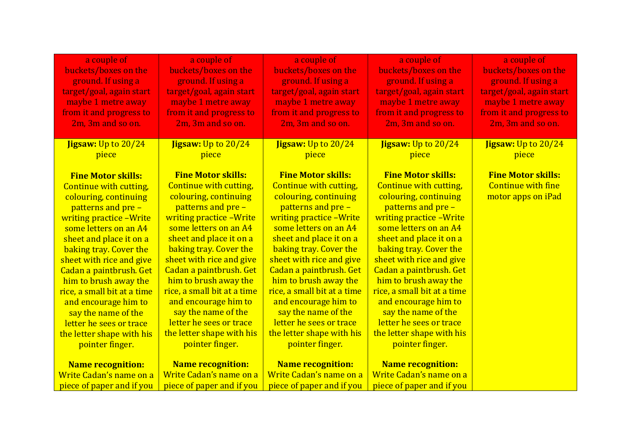| a couple of<br>buckets/boxes on the<br>ground. If using a<br>target/goal, again start<br>maybe 1 metre away<br>from it and progress to<br>2m, 3m and so on.                                                                                                                                                                                                                                                                                           | a couple of<br>buckets/boxes on the<br>ground. If using a<br>target/goal, again start<br>maybe 1 metre away<br>from it and progress to<br>2m, 3m and so on.                                                                                                                                                                                                                                                                                                  | a couple of<br>buckets/boxes on the<br>ground. If using a<br>target/goal, again start<br>maybe 1 metre away<br>from it and progress to<br>2m, 3m and so on.                                                                                                                                                                                                                                                                                           | a couple of<br>buckets/boxes on the<br>ground. If using a<br>target/goal, again start<br>maybe 1 metre away<br>from it and progress to<br>2m, 3m and so on.                                                                                                                                                                                                                                                                                           | a couple of<br>buckets/boxes on the<br>ground. If using a<br>target/goal, again start<br>maybe 1 metre away<br>from it and progress to<br>2m, 3m and so on. |
|-------------------------------------------------------------------------------------------------------------------------------------------------------------------------------------------------------------------------------------------------------------------------------------------------------------------------------------------------------------------------------------------------------------------------------------------------------|--------------------------------------------------------------------------------------------------------------------------------------------------------------------------------------------------------------------------------------------------------------------------------------------------------------------------------------------------------------------------------------------------------------------------------------------------------------|-------------------------------------------------------------------------------------------------------------------------------------------------------------------------------------------------------------------------------------------------------------------------------------------------------------------------------------------------------------------------------------------------------------------------------------------------------|-------------------------------------------------------------------------------------------------------------------------------------------------------------------------------------------------------------------------------------------------------------------------------------------------------------------------------------------------------------------------------------------------------------------------------------------------------|-------------------------------------------------------------------------------------------------------------------------------------------------------------|
| <b>Jigsaw:</b> Up to 20/24<br>piece                                                                                                                                                                                                                                                                                                                                                                                                                   | Jigsaw: Up to 20/24<br>piece                                                                                                                                                                                                                                                                                                                                                                                                                                 | <b>Jigsaw:</b> Up to 20/24<br>piece                                                                                                                                                                                                                                                                                                                                                                                                                   | <b>Jigsaw: Up to 20/24</b><br>piece                                                                                                                                                                                                                                                                                                                                                                                                                   | Jigsaw: Up to 20/24<br>piece                                                                                                                                |
| <b>Fine Motor skills:</b><br>Continue with cutting,<br>colouring, continuing<br>patterns and pre -<br>writing practice - Write<br>some letters on an A4<br>sheet and place it on a<br>baking tray. Cover the<br>sheet with rice and give<br>Cadan a paintbrush. Get<br>him to brush away the<br>rice, a small bit at a time<br>and encourage him to<br>say the name of the<br>letter he sees or trace<br>the letter shape with his<br>pointer finger. | <b>Fine Motor skills:</b><br><b>Continue with cutting,</b><br>colouring, continuing<br>patterns and pre -<br>writing practice - Write<br>some letters on an A4<br>sheet and place it on a<br>baking tray. Cover the<br>sheet with rice and give<br>Cadan a paintbrush. Get<br>him to brush away the<br>rice, a small bit at a time<br>and encourage him to<br>say the name of the<br>letter he sees or trace<br>the letter shape with his<br>pointer finger. | <b>Fine Motor skills:</b><br>Continue with cutting,<br>colouring, continuing<br>patterns and pre -<br>writing practice - Write<br>some letters on an A4<br>sheet and place it on a<br>baking tray. Cover the<br>sheet with rice and give<br>Cadan a paintbrush. Get<br>him to brush away the<br>rice, a small bit at a time<br>and encourage him to<br>say the name of the<br>letter he sees or trace<br>the letter shape with his<br>pointer finger. | <b>Fine Motor skills:</b><br>Continue with cutting,<br>colouring, continuing<br>patterns and pre -<br>writing practice - Write<br>some letters on an A4<br>sheet and place it on a<br>baking tray. Cover the<br>sheet with rice and give<br>Cadan a paintbrush. Get<br>him to brush away the<br>rice, a small bit at a time<br>and encourage him to<br>say the name of the<br>letter he sees or trace<br>the letter shape with his<br>pointer finger. | <b>Fine Motor skills:</b><br><b>Continue with fine</b><br>motor apps on iPad                                                                                |
| <b>Name recognition:</b>                                                                                                                                                                                                                                                                                                                                                                                                                              | <b>Name recognition:</b><br>Write Cadan's name on a                                                                                                                                                                                                                                                                                                                                                                                                          | <b>Name recognition:</b><br>Write Cadan's name on a                                                                                                                                                                                                                                                                                                                                                                                                   | <b>Name recognition:</b><br>Write Cadan's name on a                                                                                                                                                                                                                                                                                                                                                                                                   |                                                                                                                                                             |
| Write Cadan's name on a<br>piece of paper and if you                                                                                                                                                                                                                                                                                                                                                                                                  | piece of paper and if you                                                                                                                                                                                                                                                                                                                                                                                                                                    | piece of paper and if you                                                                                                                                                                                                                                                                                                                                                                                                                             | piece of paper and if you                                                                                                                                                                                                                                                                                                                                                                                                                             |                                                                                                                                                             |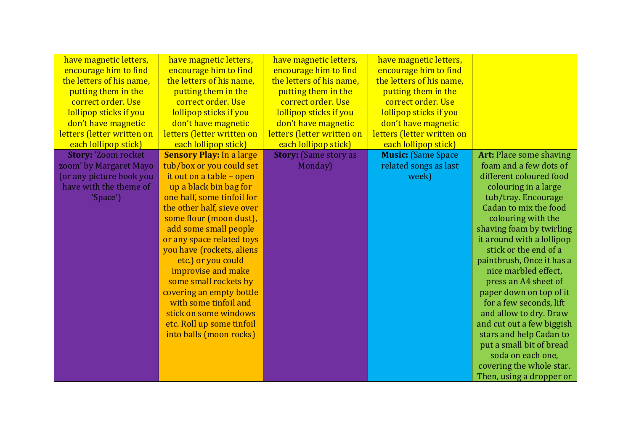| have magnetic letters,     | have magnetic letters,          | have magnetic letters,       | have magnetic letters,     |                                |
|----------------------------|---------------------------------|------------------------------|----------------------------|--------------------------------|
| encourage him to find      | encourage him to find           | encourage him to find        | encourage him to find      |                                |
| the letters of his name,   | the letters of his name,        | the letters of his name,     | the letters of his name,   |                                |
| putting them in the        | putting them in the             | putting them in the          | putting them in the        |                                |
| correct order. Use         | correct order. Use              | correct order. Use           | correct order. Use         |                                |
| lollipop sticks if you     | lollipop sticks if you          | lollipop sticks if you       | lollipop sticks if you     |                                |
| don't have magnetic        | don't have magnetic             | don't have magnetic          | don't have magnetic        |                                |
| letters (letter written on | letters (letter written on      | letters (letter written on   | letters (letter written on |                                |
| each lollipop stick)       | each lollipop stick)            | each lollipop stick)         | each lollipop stick)       |                                |
| <b>Story: 'Zoom rocket</b> | <b>Sensory Play: In a large</b> | <b>Story:</b> (Same story as | <b>Music: (Same Space</b>  | <b>Art: Place some shaving</b> |
| zoom' by Margaret Mayo     | tub/box or you could set        | Monday)                      | related songs as last      | foam and a few dots of         |
| (or any picture book you   | it out on a table - open        |                              | week)                      | different coloured food        |
| have with the theme of     | up a black bin bag for          |                              |                            | colouring in a large           |
| 'Space')                   | one half, some tinfoil for      |                              |                            | tub/tray. Encourage            |
|                            | the other half, sieve over      |                              |                            | Cadan to mix the food          |
|                            | some flour (moon dust),         |                              |                            | colouring with the             |
|                            | add some small people           |                              |                            | shaving foam by twirling       |
|                            | or any space related toys       |                              |                            | it around with a lollipop      |
|                            | you have (rockets, aliens       |                              |                            | stick or the end of a          |
|                            | etc.) or you could              |                              |                            | paintbrush, Once it has a      |
|                            | improvise and make              |                              |                            | nice marbled effect,           |
|                            | some small rockets by           |                              |                            | press an A4 sheet of           |
|                            | covering an empty bottle        |                              |                            | paper down on top of it        |
|                            | with some tinfoil and           |                              |                            | for a few seconds, lift        |
|                            | stick on some windows           |                              |                            | and allow to dry. Draw         |
|                            | etc. Roll up some tinfoil       |                              |                            | and cut out a few biggish      |
|                            | into balls (moon rocks)         |                              |                            | stars and help Cadan to        |
|                            |                                 |                              |                            | put a small bit of bread       |
|                            |                                 |                              |                            | soda on each one,              |
|                            |                                 |                              |                            | covering the whole star.       |
|                            |                                 |                              |                            | Then, using a dropper or       |